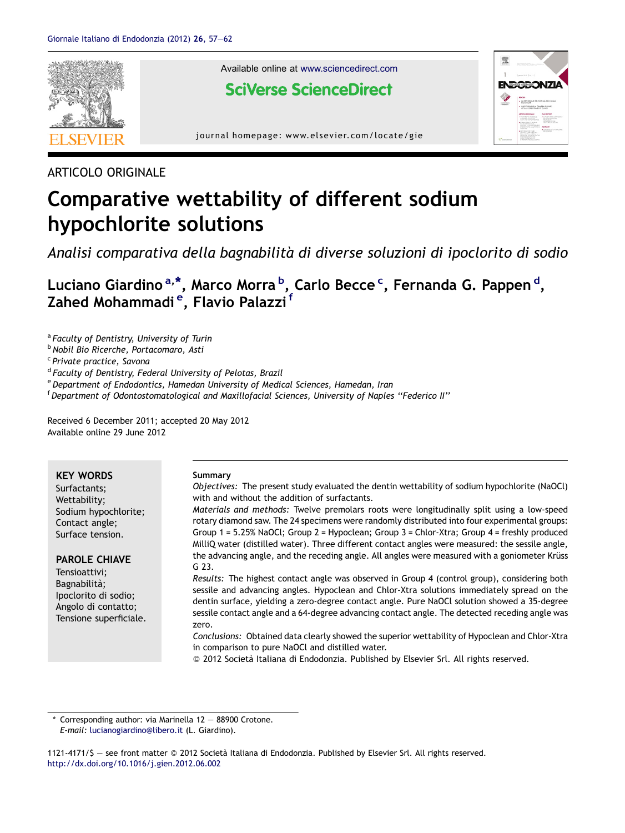

ARTICOLO ORIGINALE

# Comparative wettability of different sodium hypochlorite solutions

Analisi comparativa della bagnabilita` di diverse soluzioni di ipoclorito di sodio

Luciano Giardino <sup>a,\*</sup>, Marco Morra <sup>b</sup>, Carlo Becce <sup>c</sup>, Fernanda G. Pappen <sup>d</sup>, Zahed Mohammadi<sup>e'</sup>, Flavio Palazzi<sup>f</sup>

<sup>a</sup> Faculty of Dentistry, University of Turin

<sup>b</sup> Nobil Bio Ricerche, Portacomaro, Asti

<sup>c</sup> Private practice, Savona

<sup>d</sup> Faculty of Dentistry, Federal University of Pelotas, Brazil

e Department of Endodontics, Hamedan University of Medical Sciences, Hamedan, Iran

f Department of Odontostomatological and Maxillofacial Sciences, University of Naples ''Federico II''

Received 6 December 2011; accepted 20 May 2012 Available online 29 June 2012

# KEY WORDS

Surfactants; Wettability; Sodium hypochlorite; Contact angle; Surface tension.

## PAROLE CHIAVE

Tensioattivi; Bagnabilità; Ipoclorito di sodio; Angolo di contatto; Tensione superficiale.

#### Summary

Objectives: The present study evaluated the dentin wettability of sodium hypochlorite (NaOCl) with and without the addition of surfactants.

Materials and methods: Twelve premolars roots were longitudinally split using a low-speed rotary diamond saw. The 24 specimens were randomly distributed into four experimental groups: Group 1 = 5.25% NaOCl; Group 2 = Hypoclean; Group 3 = Chlor-Xtra; Group 4 = freshly produced MilliQ water (distilled water). Three different contact angles were measured: the sessile angle, the advancing angle, and the receding angle. All angles were measured with a goniometer Krüss G 23.

Results: The highest contact angle was observed in Group 4 (control group), considering both sessile and advancing angles. Hypoclean and Chlor-Xtra solutions immediately spread on the dentin surface, yielding a zero-degree contact angle. Pure NaOCl solution showed a 35-degree sessile contact angle and a 64-degree advancing contact angle. The detected receding angle was zero.

Conclusions: Obtained data clearly showed the superior wettability of Hypoclean and Chlor-Xtra in comparison to pure NaOCl and distilled water.

- 2012 Societa` Italiana di Endodonzia. Published by Elsevier Srl. All rights reserved.

Corresponding author: via Marinella  $12 - 88900$  Crotone. E-mail: [lucianogiardino@libero.it](mailto:lucianogiardino@libero.it) (L. Giardino).

1121-4171/\$ — see front matter © 2012 Società Italiana di Endodonzia. Published by Elsevier Srl. All rights reserved. <http://dx.doi.org/10.1016/j.gien.2012.06.002>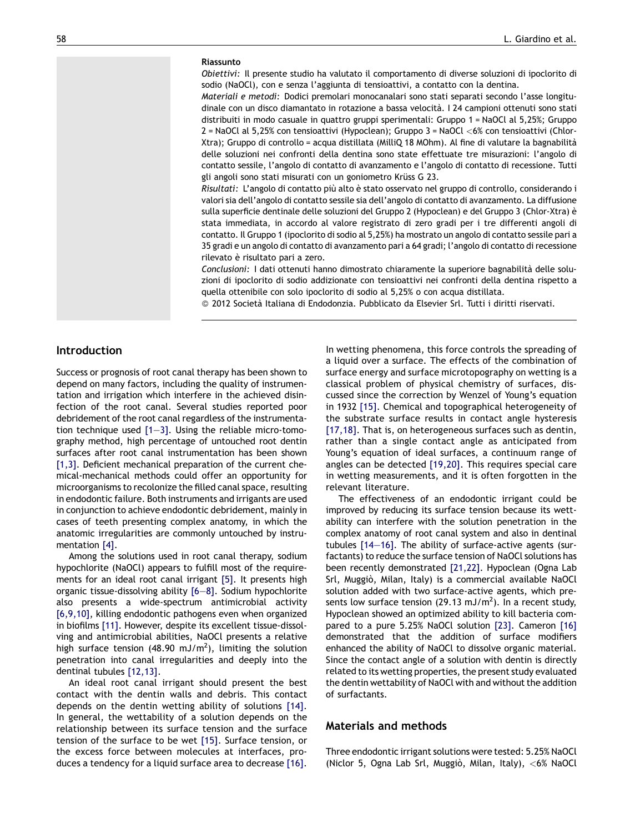#### Riassunto

Obiettivi: Il presente studio ha valutato il comportamento di diverse soluzioni di ipoclorito di sodio (NaOCl), con e senza l'aggiunta di tensioattivi, a contatto con la dentina.

Materiali e metodi: Dodici premolari monocanalari sono stati separati secondo l'asse longitudinale con un disco diamantato in rotazione a bassa velocita`. I 24 campioni ottenuti sono stati distribuiti in modo casuale in quattro gruppi sperimentali: Gruppo 1 = NaOCl al 5,25%; Gruppo 2 = NaOCl al 5,25% con tensioattivi (Hypoclean); Gruppo 3 = NaOCl <6% con tensioattivi (Chlor-Xtra); Gruppo di controllo = acqua distillata (MilliQ 18 MOhm). Al fine di valutare la bagnabilita` delle soluzioni nei confronti della dentina sono state effettuate tre misurazioni: l'angolo di contatto sessile, l'angolo di contatto di avanzamento e l'angolo di contatto di recessione. Tutti gli angoli sono stati misurati con un goniometro Krüss G 23.

Risultati: L'angolo di contatto più alto è stato osservato nel gruppo di controllo, considerando i valori sia dell'angolo di contatto sessile sia dell'angolo di contatto di avanzamento. La diffusione sulla superficie dentinale delle soluzioni del Gruppo 2 (Hypoclean) e del Gruppo 3 (Chlor-Xtra) è stata immediata, in accordo al valore registrato di zero gradi per i tre differenti angoli di contatto. Il Gruppo 1 (ipoclorito di sodio al 5,25%) ha mostrato un angolo di contatto sessile pari a 35 gradi e un angolo di contatto di avanzamento pari a 64 gradi; l'angolo di contatto di recessione rilevato è risultato pari a zero.

Conclusioni: I dati ottenuti hanno dimostrato chiaramente la superiore bagnabilità delle soluzioni di ipoclorito di sodio addizionate con tensioattivi nei confronti della dentina rispetto a quella ottenibile con solo ipoclorito di sodio al 5,25% o con acqua distillata.

© 2012 Società Italiana di Endodonzia. Pubblicato da Elsevier Srl. Tutti i diritti riservati.

#### Introduction

Success or prognosis of root canal therapy has been shown to depend on many factors, including the quality of instrumentation and irrigation which interfere in the achieved disinfection of the root canal. Several studies reported poor debridement of the root canal regardless of the instrumentation technique used  $[1-3]$ . Using the reliable micro-tomography method, high percentage of untouched root dentin surfaces after root canal instrumentation has been shown [\[1,3\].](#page-4-0) Deficient mechanical preparation of the current chemical-mechanical methods could offer an opportunity for microorganisms to recolonize the filled canal space, resulting in endodontic failure. Both instruments and irrigants are used in conjunction to achieve endodontic debridement, mainly in cases of teeth presenting complex anatomy, in which the anatomic irregularities are commonly untouched by instrumentation [\[4\].](#page-4-0)

Among the solutions used in root canal therapy, sodium hypochlorite (NaOCl) appears to fulfill most of the requirements for an ideal root canal irrigant [\[5\]](#page-4-0). It presents high organic tissue-dissolving ability [\[6—8\]](#page-4-0). Sodium hypochlorite also presents a wide-spectrum antimicrobial activity [\[6,9,10\]](#page-4-0), killing endodontic pathogens even when organized in biofilms [\[11\].](#page-4-0) However, despite its excellent tissue-dissolving and antimicrobial abilities, NaOCl presents a relative high surface tension (48.90 mJ/m<sup>2</sup>), limiting the solution penetration into canal irregularities and deeply into the dentinal tubules [\[12,13\]](#page-4-0).

An ideal root canal irrigant should present the best contact with the dentin walls and debris. This contact depends on the dentin wetting ability of solutions [\[14\].](#page-4-0) In general, the wettability of a solution depends on the relationship between its surface tension and the surface tension of the surface to be wet [\[15\].](#page-4-0) Surface tension, or the excess force between molecules at interfaces, produces a tendency for a liquid surface area to decrease [\[16\].](#page-4-0) In wetting phenomena, this force controls the spreading of a liquid over a surface. The effects of the combination of surface energy and surface microtopography on wetting is a classical problem of physical chemistry of surfaces, discussed since the correction by Wenzel of Young's equation in 1932 [\[15\]](#page-4-0). Chemical and topographical heterogeneity of the substrate surface results in contact angle hysteresis [\[17,18\].](#page-4-0) That is, on heterogeneous surfaces such as dentin, rather than a single contact angle as anticipated from Young's equation of ideal surfaces, a continuum range of angles can be detected [\[19,20\].](#page-4-0) This requires special care in wetting measurements, and it is often forgotten in the relevant literature.

The effectiveness of an endodontic irrigant could be improved by reducing its surface tension because its wettability can interfere with the solution penetration in the complex anatomy of root canal system and also in dentinal tubules [\[14—16\]](#page-4-0). The ability of surface-active agents (surfactants) to reduce the surface tension of NaOCl solutions has been recently demonstrated [\[21,22\].](#page-4-0) Hypoclean (Ogna Lab Srl, Muggiò, Milan, Italy) is a commercial available NaOCl solution added with two surface-active agents, which presents low surface tension (29.13 mJ/m<sup>2</sup>). In a recent study, Hypoclean showed an optimized ability to kill bacteria compared to a pure 5.25% NaOCl solution [\[23\]](#page-4-0). Cameron [\[16\]](#page-4-0) demonstrated that the addition of surface modifiers enhanced the ability of NaOCl to dissolve organic material. Since the contact angle of a solution with dentin is directly related to its wetting properties, the present study evaluated the dentin wettability of NaOCl with and without the addition of surfactants.

#### Materials and methods

Three endodontic irrigant solutions were tested: 5.25% NaOCl (Niclor 5, Ogna Lab Srl, Muggiò, Milan, Italy),  $<$ 6% NaOCl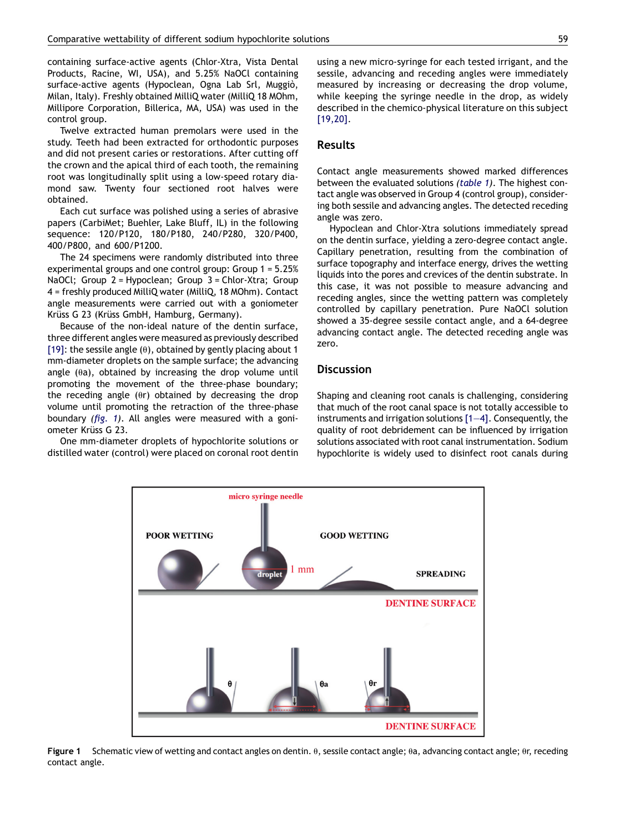containing surface-active agents (Chlor-Xtra, Vista Dental Products, Racine, WI, USA), and 5.25% NaOCl containing surface-active agents (Hypoclean, Ogna Lab Srl, Muggiò, Milan, Italy). Freshly obtained MilliQ water (MilliQ 18 MOhm, Millipore Corporation, Billerica, MA, USA) was used in the control group.

Twelve extracted human premolars were used in the study. Teeth had been extracted for orthodontic purposes and did not present caries or restorations. After cutting off the crown and the apical third of each tooth, the remaining root was longitudinally split using a low-speed rotary diamond saw. Twenty four sectioned root halves were obtained.

Each cut surface was polished using a series of abrasive papers (CarbiMet; Buehler, Lake Bluff, IL) in the following sequence: 120/P120, 180/P180, 240/P280, 320/P400, 400/P800, and 600/P1200.

The 24 specimens were randomly distributed into three experimental groups and one control group: Group 1 = 5.25% NaOCl; Group 2 = Hypoclean; Group 3 = Chlor-Xtra; Group 4 = freshly produced MilliQ water (MilliQ, 18 MOhm). Contact angle measurements were carried out with a goniometer Krüss G 23 (Krüss GmbH, Hamburg, Germany).

Because of the non-ideal nature of the dentin surface, three different angles were measured as previously described [\[19\]](#page-4-0): the sessile angle  $(\theta)$ , obtained by gently placing about 1 mm-diameter droplets on the sample surface; the advancing angle  $(\theta a)$ , obtained by increasing the drop volume until promoting the movement of the three-phase boundary; the receding angle ( $\theta$ r) obtained by decreasing the drop volume until promoting the retraction of the three-phase boundary (fig. 1). All angles were measured with a goniometer Krüss G 23.

One mm-diameter droplets of hypochlorite solutions or distilled water (control) were placed on coronal root dentin using a new micro-syringe for each tested irrigant, and the sessile, advancing and receding angles were immediately measured by increasing or decreasing the drop volume, while keeping the syringe needle in the drop, as widely described in the chemico-physical literature on this subject [\[19,20\].](#page-4-0)

#### Results

Contact angle measurements showed marked differences between the evaluated solutions [\(table](#page-3-0) 1). The highest contact angle was observed in Group 4 (control group), considering both sessile and advancing angles. The detected receding angle was zero.

Hypoclean and Chlor-Xtra solutions immediately spread on the dentin surface, yielding a zero-degree contact angle. Capillary penetration, resulting from the combination of surface topography and interface energy, drives the wetting liquids into the pores and crevices of the dentin substrate. In this case, it was not possible to measure advancing and receding angles, since the wetting pattern was completely controlled by capillary penetration. Pure NaOCl solution showed a 35-degree sessile contact angle, and a 64-degree advancing contact angle. The detected receding angle was zero.

#### **Discussion**

Shaping and cleaning root canals is challenging, considering that much of the root canal space is not totally accessible to instruments and irrigation solutions [\[1—4\].](#page-4-0) Consequently, the quality of root debridement can be influenced by irrigation solutions associated with root canal instrumentation. Sodium hypochlorite is widely used to disinfect root canals during



Figure 1 Schematic view of wetting and contact angles on dentin.  $\theta$ , sessile contact angle;  $\theta$ a, advancing contact angle;  $\theta$ r, receding contact angle.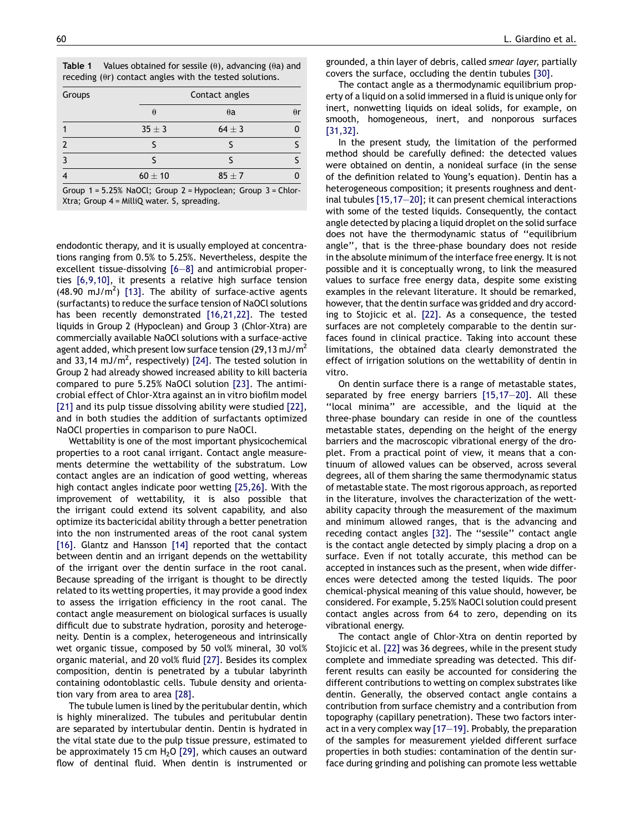<span id="page-3-0"></span>

| Groups | Contact angles |            |    |
|--------|----------------|------------|----|
|        |                | $\theta$ a | θr |
|        | $35 + 3$       | $64 + 3$   |    |
|        |                |            |    |
| 3      |                |            |    |
|        | $60 \pm 10$    | $85 \pm 7$ |    |

Group 1 = 5.25% NaOCl; Group 2 = Hypoclean; Group 3 = Chlor-Xtra; Group 4 = MilliQ water. S, spreading.

endodontic therapy, and it is usually employed at concentrations ranging from 0.5% to 5.25%. Nevertheless, despite the excellent tissue-dissolving [\[6—8\]](#page-4-0) and antimicrobial properties [\[6,9,10\],](#page-4-0) it presents a relative high surface tension  $(48.90 \text{ mJ/m}^2)$  [\[13\].](#page-4-0) The ability of surface-active agents (surfactants) to reduce the surface tension of NaOCl solutions has been recently demonstrated [\[16,21,22\]](#page-4-0). The tested liquids in Group 2 (Hypoclean) and Group 3 (Chlor-Xtra) are commercially available NaOCl solutions with a surface-active agent added, which present low surface tension (29,13 mJ/m<sup>2</sup> and 33,14 mJ/m<sup>2</sup>, respectively) [\[24\].](#page-4-0) The tested solution in Group 2 had already showed increased ability to kill bacteria compared to pure 5.25% NaOCl solution [\[23\]](#page-4-0). The antimicrobial effect of Chlor-Xtra against an in vitro biofilm model [\[21\]](#page-4-0) and its pulp tissue dissolving ability were studied [\[22\],](#page-4-0) and in both studies the addition of surfactants optimized NaOCl properties in comparison to pure NaOCl.

Wettability is one of the most important physicochemical properties to a root canal irrigant. Contact angle measurements determine the wettability of the substratum. Low contact angles are an indication of good wetting, whereas high contact angles indicate poor wetting [\[25,26\]](#page-4-0). With the improvement of wettability, it is also possible that the irrigant could extend its solvent capability, and also optimize its bactericidal ability through a better penetration into the non instrumented areas of the root canal system [\[16\].](#page-4-0) Glantz and Hansson [\[14\]](#page-4-0) reported that the contact between dentin and an irrigant depends on the wettability of the irrigant over the dentin surface in the root canal. Because spreading of the irrigant is thought to be directly related to its wetting properties, it may provide a good index to assess the irrigation efficiency in the root canal. The contact angle measurement on biological surfaces is usually difficult due to substrate hydration, porosity and heterogeneity. Dentin is a complex, heterogeneous and intrinsically wet organic tissue, composed by 50 vol% mineral, 30 vol% organic material, and 20 vol% fluid [\[27\].](#page-5-0) Besides its complex composition, dentin is penetrated by a tubular labyrinth containing odontoblastic cells. Tubule density and orientation vary from area to area [\[28\].](#page-5-0)

The tubule lumen is lined by the peritubular dentin, which is highly mineralized. The tubules and peritubular dentin are separated by intertubular dentin. Dentin is hydrated in the vital state due to the pulp tissue pressure, estimated to be approximately 15 cm  $H<sub>2</sub>O$  [\[29\],](#page-5-0) which causes an outward flow of dentinal fluid. When dentin is instrumented or

grounded, a thin layer of debris, called smear layer, partially covers the surface, occluding the dentin tubules [\[30\]](#page-5-0).

The contact angle as a thermodynamic equilibrium property of a liquid on a solid immersed in a fluid is unique only for inert, nonwetting liquids on ideal solids, for example, on smooth, homogeneous, inert, and nonporous surfaces [\[31,32\]](#page-5-0).

In the present study, the limitation of the performed method should be carefully defined: the detected values were obtained on dentin, a nonideal surface (in the sense of the definition related to Young's equation). Dentin has a heterogeneous composition; it presents roughness and dentinal tubules [\[15,17—20\]](#page-4-0); it can present chemical interactions with some of the tested liquids. Consequently, the contact angle detected by placing a liquid droplet on the solid surface does not have the thermodynamic status of ''equilibrium angle'', that is the three-phase boundary does not reside in the absolute minimum of the interface free energy. It is not possible and it is conceptually wrong, to link the measured values to surface free energy data, despite some existing examples in the relevant literature. It should be remarked, however, that the dentin surface was gridded and dry according to Stojicic et al. [\[22\].](#page-4-0) As a consequence, the tested surfaces are not completely comparable to the dentin surfaces found in clinical practice. Taking into account these limitations, the obtained data clearly demonstrated the effect of irrigation solutions on the wettability of dentin in vitro.

On dentin surface there is a range of metastable states, separated by free energy barriers [\[15,17—20\]](#page-4-0). All these ''local minima'' are accessible, and the liquid at the three-phase boundary can reside in one of the countless metastable states, depending on the height of the energy barriers and the macroscopic vibrational energy of the droplet. From a practical point of view, it means that a continuum of allowed values can be observed, across several degrees, all of them sharing the same thermodynamic status of metastable state. The mostrigorous approach, as reported in the literature, involves the characterization of the wettability capacity through the measurement of the maximum and minimum allowed ranges, that is the advancing and receding contact angles [\[32\].](#page-5-0) The ''sessile'' contact angle is the contact angle detected by simply placing a drop on a surface. Even if not totally accurate, this method can be accepted in instances such as the present, when wide differences were detected among the tested liquids. The poor chemical-physical meaning of this value should, however, be considered. For example, 5.25% NaOCl solution could present contact angles across from 64 to zero, depending on its vibrational energy.

The contact angle of Chlor-Xtra on dentin reported by Stojicic et al. [\[22\]](#page-4-0) was 36 degrees, while in the present study complete and immediate spreading was detected. This different results can easily be accounted for considering the different contributions to wetting on complex substrates like dentin. Generally, the observed contact angle contains a contribution from surface chemistry and a contribution from topography (capillary penetration). These two factors interact in a very complex way [\[17—19\]](#page-4-0). Probably, the preparation of the samples for measurement yielded different surface properties in both studies: contamination of the dentin surface during grinding and polishing can promote less wettable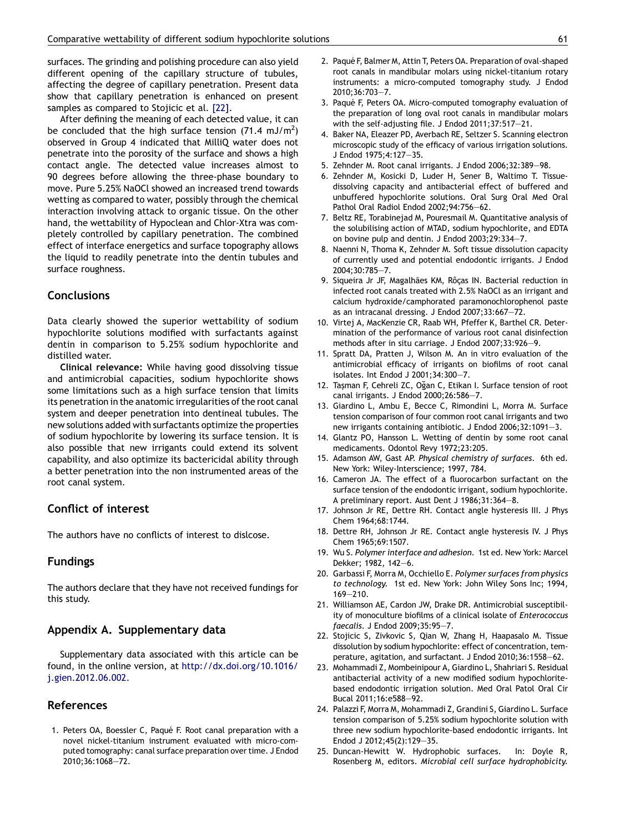<span id="page-4-0"></span>surfaces. The grinding and polishing procedure can also yield different opening of the capillary structure of tubules, affecting the degree of capillary penetration. Present data show that capillary penetration is enhanced on present samples as compared to Stojicic et al. [22].

After defining the meaning of each detected value, it can be concluded that the high surface tension (71.4 mJ/m<sup>2</sup>) observed in Group 4 indicated that MilliQ water does not penetrate into the porosity of the surface and shows a high contact angle. The detected value increases almost to 90 degrees before allowing the three-phase boundary to move. Pure 5.25% NaOCl showed an increased trend towards wetting as compared to water, possibly through the chemical interaction involving attack to organic tissue. On the other hand, the wettability of Hypoclean and Chlor-Xtra was completely controlled by capillary penetration. The combined effect of interface energetics and surface topography allows the liquid to readily penetrate into the dentin tubules and surface roughness.

# **Conclusions**

Data clearly showed the superior wettability of sodium hypochlorite solutions modified with surfactants against dentin in comparison to 5.25% sodium hypochlorite and distilled water.

Clinical relevance: While having good dissolving tissue and antimicrobial capacities, sodium hypochlorite shows some limitations such as a high surface tension that limits its penetration in the anatomic irregularities of the root canal system and deeper penetration into dentineal tubules. The new solutions added with surfactants optimize the properties of sodium hypochlorite by lowering its surface tension. It is also possible that new irrigants could extend its solvent capability, and also optimize its bactericidal ability through a better penetration into the non instrumented areas of the root canal system.

#### Conflict of interest

The authors have no conflicts of interest to dislcose.

### Fundings

The authors declare that they have not received fundings for this study.

#### Appendix A. Supplementary data

Supplementary data associated with this article can be found, in the online version, at [http://dx.doi.org/10.1016/](http://dx.doi.org/10.1016/j.gien.2012.06.002) [j.gien.2012.06.002](http://dx.doi.org/10.1016/j.gien.2012.06.002).

### References

1. Peters OA, Boessler C, Paqué F. Root canal preparation with a novel nickel-titanium instrument evaluated with micro-computed tomography: canal surface preparation over time. J Endod 2010;36:1068—72.

- 2. Paqué F, Balmer M, Attin T, Peters OA. Preparation of oval-shaped root canals in mandibular molars using nickel-titanium rotary instruments: a micro-computed tomography study. J Endod 2010;36:703—7.
- 3. Paqué F, Peters OA. Micro-computed tomography evaluation of the preparation of long oval root canals in mandibular molars with the self-adjusting file. J Endod 2011;37:517—21.
- 4. Baker NA, Eleazer PD, Averbach RE, Seltzer S. Scanning electron microscopic study of the efficacy of various irrigation solutions. J Endod 1975;4:127—35.
- 5. Zehnder M. Root canal irrigants. J Endod 2006;32:389—98.
- 6. Zehnder M, Kosicki D, Luder H, Sener B, Waltimo T. Tissuedissolving capacity and antibacterial effect of buffered and unbuffered hypochlorite solutions. Oral Surg Oral Med Oral Pathol Oral Radiol Endod 2002;94:756—62.
- 7. Beltz RE, Torabinejad M, Pouresmail M. Quantitative analysis of the solubilising action of MTAD, sodium hypochlorite, and EDTA on bovine pulp and dentin. J Endod 2003;29:334—7.
- 8. Naenni N, Thoma K, Zehnder M. Soft tissue dissolution capacity of currently used and potential endodontic irrigants. J Endod 2004;30:785—7.
- 9. Siqueira Jr JF, Magalhães KM, Rôças IN. Bacterial reduction in infected root canals treated with 2.5% NaOCl as an irrigant and calcium hydroxide/camphorated paramonochlorophenol paste as an intracanal dressing. J Endod 2007;33:667—72.
- 10. Virtej A, MacKenzie CR, Raab WH, Pfeffer K, Barthel CR. Determination of the performance of various root canal disinfection methods after in situ carriage. J Endod 2007;33:926—9.
- 11. Spratt DA, Pratten J, Wilson M. An in vitro evaluation of the antimicrobial efficacy of irrigants on biofilms of root canal isolates. Int Endod J 2001;34:300—7.
- 12. Tașman F, Cehreli ZC, Oğan C, Etikan I. Surface tension of root canal irrigants. J Endod 2000;26:586—7.
- 13. Giardino L, Ambu E, Becce C, Rimondini L, Morra M. Surface tension comparison of four common root canal irrigants and two new irrigants containing antibiotic. J Endod 2006;32:1091—3.
- 14. Glantz PO, Hansson L. Wetting of dentin by some root canal medicaments. Odontol Revy 1972;23:205.
- 15. Adamson AW, Gast AP. Physical chemistry of surfaces. 6th ed. New York: Wiley-Interscience; 1997, 784.
- 16. Cameron JA. The effect of a fluorocarbon surfactant on the surface tension of the endodontic irrigant, sodium hypochlorite. A preliminary report. Aust Dent J 1986;31:364—8.
- 17. Johnson Jr RE, Dettre RH. Contact angle hysteresis III. J Phys Chem 1964;68:1744.
- 18. Dettre RH, Johnson Jr RE. Contact angle hysteresis IV. J Phys Chem 1965;69:1507.
- 19. Wu S. Polymer interface and adhesion. 1st ed. New York: Marcel Dekker; 1982, 142—6.
- 20. Garbassi F, Morra M, Occhiello E. Polymer surfaces from physics to technology. 1st ed. New York: John Wiley Sons Inc; 1994, 169—210.
- 21. Williamson AE, Cardon JW, Drake DR. Antimicrobial susceptibility of monoculture biofilms of a clinical isolate of Enterococcus faecalis. J Endod 2009;35:95—7.
- 22. Stojicic S, Zivkovic S, Qian W, Zhang H, Haapasalo M. Tissue dissolution by sodium hypochlorite: effect of concentration, temperature, agitation, and surfactant. J Endod 2010;36:1558—62.
- 23. Mohammadi Z, Mombeinipour A, Giardino L, Shahriari S. Residual antibacterial activity of a new modified sodium hypochloritebased endodontic irrigation solution. Med Oral Patol Oral Cir Bucal 2011;16:e588—92.
- 24. Palazzi F, Morra M, Mohammadi Z, Grandini S, Giardino L. Surface tension comparison of 5.25% sodium hypochlorite solution with three new sodium hypochlorite-based endodontic irrigants. Int Endod J 2012;45(2):129—35.
- 25. Duncan-Hewitt W. Hydrophobic surfaces. In: Doyle R, Rosenberg M, editors. Microbial cell surface hydrophobicity.